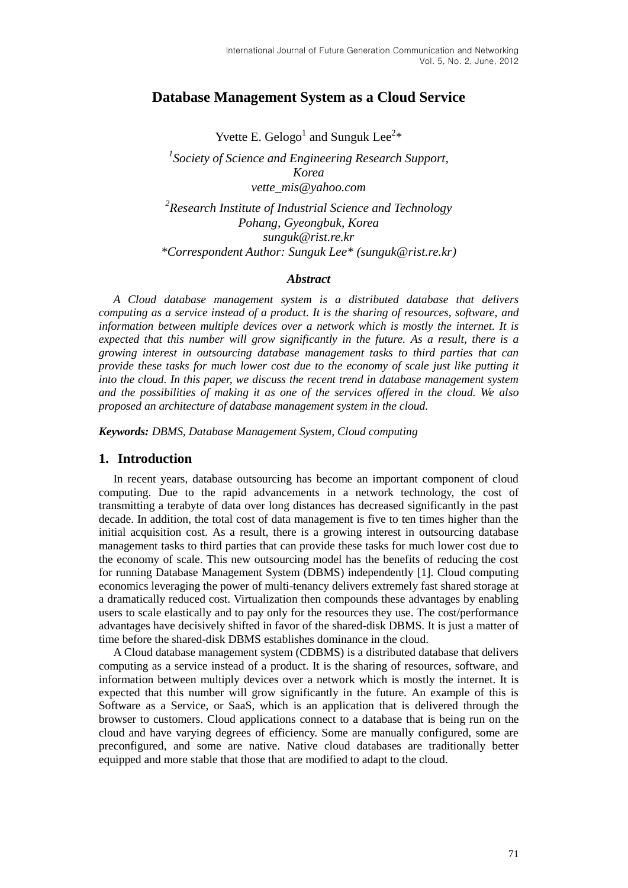## **Database Management System as a Cloud Service**

Yvette E. Gelogo<sup>1</sup> and Sunguk Lee<sup>2\*</sup> *1 Society of Science and Engineering Research Support, Korea vette\_mis@yahoo.com 2 Research Institute of Industrial Science and Technology Pohang, Gyeongbuk, Korea sunguk@rist.re.kr \*Correspondent Author: Sunguk Lee\* (sunguk@rist.re.kr)*

### *Abstract*

*A Cloud database management system is a distributed database that delivers computing as a service instead of a product. It is the sharing of resources, software, and information between multiple devices over a network which is mostly the internet. It is expected that this number will grow significantly in the future. As a result, there is a growing interest in outsourcing database management tasks to third parties that can provide these tasks for much lower cost due to the economy of scale just like putting it into the cloud. In this paper, we discuss the recent trend in database management system and the possibilities of making it as one of the services offered in the cloud. We also proposed an architecture of database management system in the cloud.*

*Keywords: DBMS, Database Management System, Cloud computing*

### **1. Introduction**

In recent years, database outsourcing has become an important component of cloud computing. Due to the rapid advancements in a network technology, the cost of transmitting a terabyte of data over long distances has decreased significantly in the past decade. In addition, the total cost of data management is five to ten times higher than the initial acquisition cost. As a result, there is a growing interest in outsourcing database management tasks to third parties that can provide these tasks for much lower cost due to the economy of scale. This new outsourcing model has the benefits of reducing the cost for running Database Management System (DBMS) independently [1]. Cloud computing economics leveraging the power of multi-tenancy delivers extremely fast shared storage at a dramatically reduced cost. Virtualization then compounds these advantages by enabling users to scale elastically and to pay only for the resources they use. The cost/performance advantages have decisively shifted in favor of the shared-disk DBMS. It is just a matter of time before the shared-disk DBMS establishes dominance in the cloud.

A Cloud database management system (CDBMS) is a distributed database that delivers computing as a service instead of a product. It is the sharing of resources, software, and information between multiply devices over a network which is mostly the internet. It is expected that this number will grow significantly in the future. An example of this is Software as a Service, or SaaS, which is an application that is delivered through the browser to customers. Cloud applications connect to a database that is being run on the cloud and have varying degrees of efficiency. Some are manually configured, some are preconfigured, and some are native. Native cloud databases are traditionally better equipped and more stable that those that are modified to adapt to the cloud.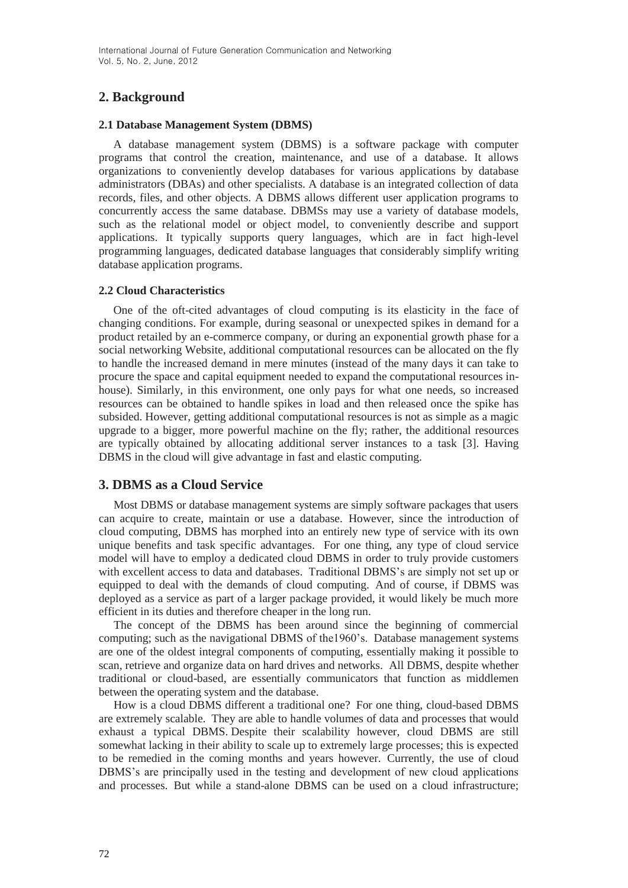# **2. Background**

### **2.1 Database Management System (DBMS)**

A database management system (DBMS) is a software package with computer programs that control the creation, maintenance, and use of a database. It allows organizations to conveniently develop databases for various applications by database administrators (DBAs) and other specialists. A database is an integrated collection of data records, files, and other objects. A DBMS allows different user application programs to concurrently access the same database. DBMSs may use a variety of database models, such as the relational model or object model, to conveniently describe and support applications. It typically supports query languages, which are in fact high-level programming languages, dedicated database languages that considerably simplify writing database application programs.

### **2.2 Cloud Characteristics**

One of the oft-cited advantages of cloud computing is its elasticity in the face of changing conditions. For example, during seasonal or unexpected spikes in demand for a product retailed by an e-commerce company, or during an exponential growth phase for a social networking Website, additional computational resources can be allocated on the fly to handle the increased demand in mere minutes (instead of the many days it can take to procure the space and capital equipment needed to expand the computational resources inhouse). Similarly, in this environment, one only pays for what one needs, so increased resources can be obtained to handle spikes in load and then released once the spike has subsided. However, getting additional computational resources is not as simple as a magic upgrade to a bigger, more powerful machine on the fly; rather, the additional resources are typically obtained by allocating additional server instances to a task [3]. Having DBMS in the cloud will give advantage in fast and elastic computing.

## **3. DBMS as a Cloud Service**

Most DBMS or database management systems are simply software packages that users can acquire to create, maintain or use a database. However, since the introduction of cloud computing, DBMS has morphed into an entirely new type of service with its own unique benefits and task specific advantages. For one thing, any type of cloud service model will have to employ a dedicated cloud DBMS in order to truly provide customers with excellent access to data and databases. Traditional DBMS's are simply not set up or equipped to deal with the demands of cloud computing. And of course, if DBMS was deployed as a service as part of a larger package provided, it would likely be much more efficient in its duties and therefore cheaper in the long run.

The concept of the DBMS has been around since the beginning of commercial computing; such as the navigational DBMS of the1960's. Database management systems are one of the oldest integral components of computing, essentially making it possible to scan, retrieve and organize data on hard drives and networks. All DBMS, despite whether traditional or cloud-based, are essentially communicators that function as middlemen between the operating system and the database.

How is a cloud DBMS different a traditional one? For one thing, cloud-based DBMS are extremely scalable. They are able to handle volumes of data and processes that would exhaust a typical DBMS. Despite their scalability however, cloud DBMS are still somewhat lacking in their ability to scale up to extremely large processes; this is expected to be remedied in the coming months and years however. Currently, the use of cloud DBMS's are principally used in the testing and development of new cloud applications and processes. But while a stand-alone DBMS can be used on a cloud infrastructure;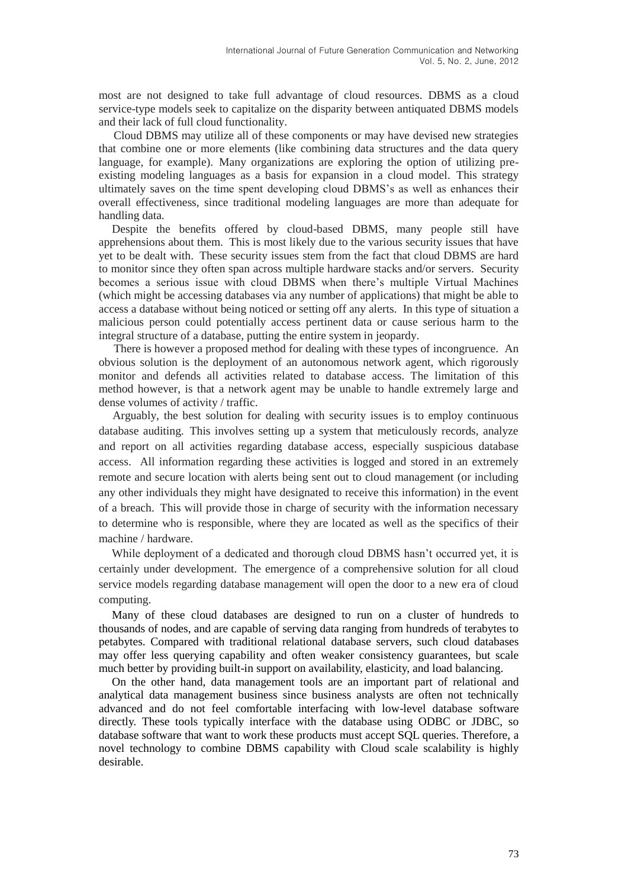most are not designed to take full advantage of cloud resources. DBMS as a cloud service-type models seek to capitalize on the disparity between antiquated DBMS models and their lack of full cloud functionality.

Cloud DBMS may utilize all of these components or may have devised new strategies that combine one or more elements (like combining data structures and the data query language, for example). Many organizations are exploring the option of utilizing preexisting modeling languages as a basis for expansion in a cloud model. This strategy ultimately saves on the time spent developing cloud DBMS's as well as enhances their overall effectiveness, since traditional modeling languages are more than adequate for handling data.

Despite the benefits offered by cloud-based DBMS, many people still have apprehensions about them. This is most likely due to the various security issues that have yet to be dealt with. These security issues stem from the fact that cloud DBMS are hard to monitor since they often span across multiple hardware stacks and/or servers. Security becomes a serious issue with cloud DBMS when there's multiple Virtual Machines (which might be accessing databases via any number of applications) that might be able to access a database without being noticed or setting off any alerts. In this type of situation a malicious person could potentially access pertinent data or cause serious harm to the integral structure of a database, putting the entire system in jeopardy.

There is however a proposed method for dealing with these types of incongruence. An obvious solution is the deployment of an autonomous network agent, which rigorously monitor and defends all activities related to database access. The limitation of this method however, is that a network agent may be unable to handle extremely large and dense volumes of activity / traffic.

Arguably, the best solution for dealing with security issues is to employ continuous database auditing. This involves setting up a system that meticulously records, analyze and report on all activities regarding database access, especially suspicious database access. All information regarding these activities is logged and stored in an extremely remote and secure location with alerts being sent out to cloud management (or including any other individuals they might have designated to receive this information) in the event of a breach. This will provide those in charge of security with the information necessary to determine who is responsible, where they are located as well as the specifics of their machine / hardware.

While deployment of a dedicated and thorough cloud DBMS hasn't occurred yet, it is certainly under development. The emergence of a comprehensive solution for all cloud service models regarding database management will open the door to a new era of cloud computing.

Many of these cloud databases are designed to run on a cluster of hundreds to thousands of nodes, and are capable of serving data ranging from hundreds of terabytes to petabytes. Compared with traditional relational database servers, such cloud databases may offer less querying capability and often weaker consistency guarantees, but scale much better by providing built-in support on availability, elasticity, and load balancing.

On the other hand, data management tools are an important part of relational and analytical data management business since business analysts are often not technically advanced and do not feel comfortable interfacing with low-level database software directly. These tools typically interface with the database using ODBC or JDBC, so database software that want to work these products must accept SQL queries. Therefore, a novel technology to combine DBMS capability with Cloud scale scalability is highly desirable.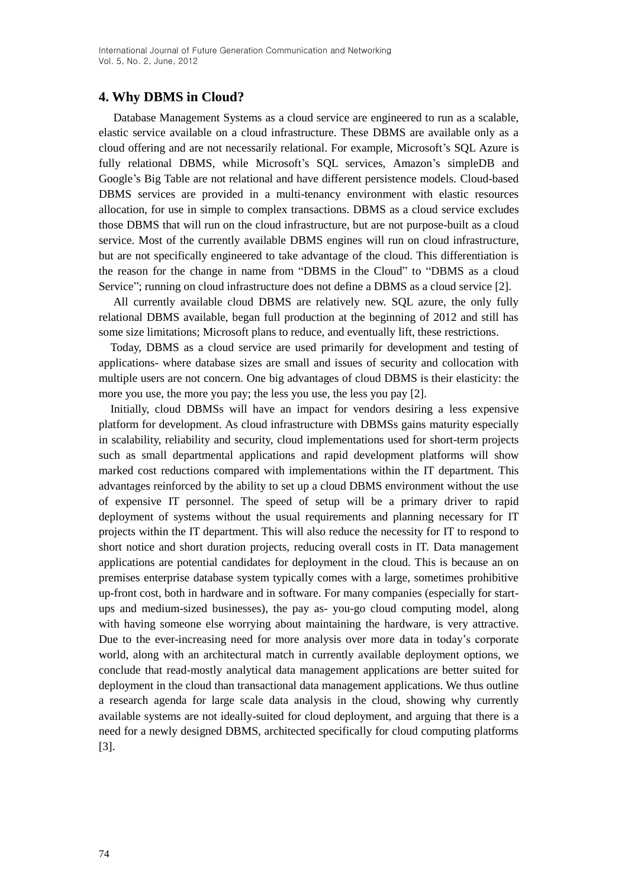## **4. Why DBMS in Cloud?**

Database Management Systems as a cloud service are engineered to run as a scalable, elastic service available on a cloud infrastructure. These DBMS are available only as a cloud offering and are not necessarily relational. For example, Microsoft's SQL Azure is fully relational DBMS, while Microsoft's SQL services, Amazon's simpleDB and Google's Big Table are not relational and have different persistence models. Cloud-based DBMS services are provided in a multi-tenancy environment with elastic resources allocation, for use in simple to complex transactions. DBMS as a cloud service excludes those DBMS that will run on the cloud infrastructure, but are not purpose-built as a cloud service. Most of the currently available DBMS engines will run on cloud infrastructure, but are not specifically engineered to take advantage of the cloud. This differentiation is the reason for the change in name from "DBMS in the Cloud" to "DBMS as a cloud Service"; running on cloud infrastructure does not define a DBMS as a cloud service [2].

All currently available cloud DBMS are relatively new. SQL azure, the only fully relational DBMS available, began full production at the beginning of 2012 and still has some size limitations; Microsoft plans to reduce, and eventually lift, these restrictions.

Today, DBMS as a cloud service are used primarily for development and testing of applications- where database sizes are small and issues of security and collocation with multiple users are not concern. One big advantages of cloud DBMS is their elasticity: the more you use, the more you pay; the less you use, the less you pay [2].

Initially, cloud DBMSs will have an impact for vendors desiring a less expensive platform for development. As cloud infrastructure with DBMSs gains maturity especially in scalability, reliability and security, cloud implementations used for short-term projects such as small departmental applications and rapid development platforms will show marked cost reductions compared with implementations within the IT department. This advantages reinforced by the ability to set up a cloud DBMS environment without the use of expensive IT personnel. The speed of setup will be a primary driver to rapid deployment of systems without the usual requirements and planning necessary for IT projects within the IT department. This will also reduce the necessity for IT to respond to short notice and short duration projects, reducing overall costs in IT. Data management applications are potential candidates for deployment in the cloud. This is because an on premises enterprise database system typically comes with a large, sometimes prohibitive up-front cost, both in hardware and in software. For many companies (especially for startups and medium-sized businesses), the pay as- you-go cloud computing model, along with having someone else worrying about maintaining the hardware, is very attractive. Due to the ever-increasing need for more analysis over more data in today's corporate world, along with an architectural match in currently available deployment options, we conclude that read-mostly analytical data management applications are better suited for deployment in the cloud than transactional data management applications. We thus outline a research agenda for large scale data analysis in the cloud, showing why currently available systems are not ideally-suited for cloud deployment, and arguing that there is a need for a newly designed DBMS, architected specifically for cloud computing platforms [3].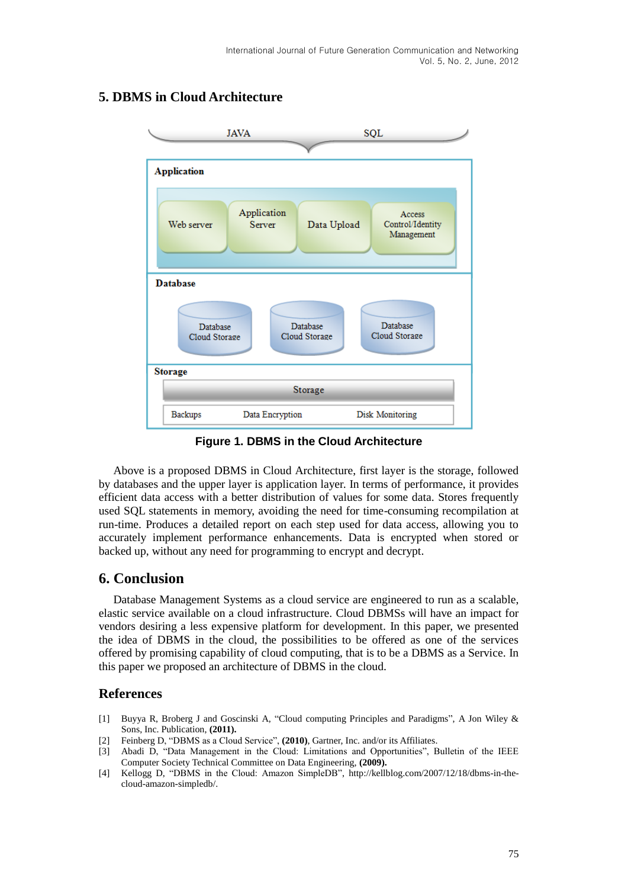

# **5. DBMS in Cloud Architecture**

**Figure 1. DBMS in the Cloud Architecture**

Above is a proposed DBMS in Cloud Architecture, first layer is the storage, followed by databases and the upper layer is application layer. In terms of performance, it provides efficient data access with a better distribution of values for some data. Stores frequently used SQL statements in memory, avoiding the need for time-consuming recompilation at run-time. Produces a detailed report on each step used for data access, allowing you to accurately implement performance enhancements. Data is encrypted when stored or backed up, without any need for programming to encrypt and decrypt.

# **6. Conclusion**

Database Management Systems as a cloud service are engineered to run as a scalable, elastic service available on a cloud infrastructure. Cloud DBMSs will have an impact for vendors desiring a less expensive platform for development. In this paper, we presented the idea of DBMS in the cloud, the possibilities to be offered as one of the services offered by promising capability of cloud computing, that is to be a DBMS as a Service. In this paper we proposed an architecture of DBMS in the cloud.

## **References**

- [1] Buyya R, Broberg J and Goscinski A, "Cloud computing Principles and Paradigms", A Jon Wiley & Sons, Inc. Publication, **(2011).**
- [2] Feinberg D, "DBMS as a Cloud Service", **(2010)**, Gartner, Inc. and/or its Affiliates.
- [3] Abadi D, "Data Management in the Cloud: Limitations and Opportunities", Bulletin of the IEEE Computer Society Technical Committee on Data Engineering, **(2009).**
- [4] Kellogg D, "DBMS in the Cloud: Amazon SimpleDB", http://kellblog.com/2007/12/18/dbms-in-thecloud-amazon-simpledb/.